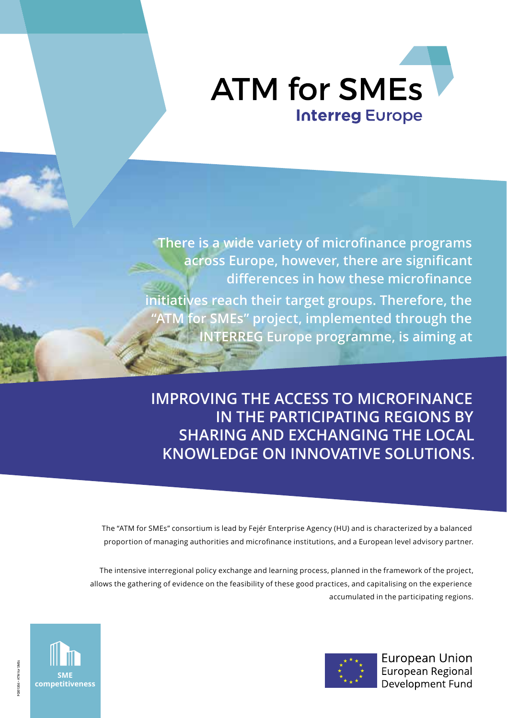

**There is a wide variety of microfinance programs across Europe, however, there are significant differences in how these microfinance initiatives reach their target groups. Therefore, the "ATM for SMEs" project, implemented through the INTERREG Europe programme, is aiming at**

**IMPROVING THE ACCESS TO MICROFINANCE IN THE PARTICIPATING REGIONS BY SHARING AND EXCHANGING THE LOCAL KNOWLEDGE ON INNOVATIVE SOLUTIONS.**

The "ATM for SMEs" consortium is lead by Fejér Enterprise Agency (HU) and is characterized by a balanced proportion of managing authorities and microfinance institutions, and a European level advisory partner.

The intensive interregional policy exchange and learning process, planned in the framework of the project, allows the gathering of evidence on the feasibility of these good practices, and capitalising on the experience accumulated in the participating regions.



European Union European Regional Development Fund

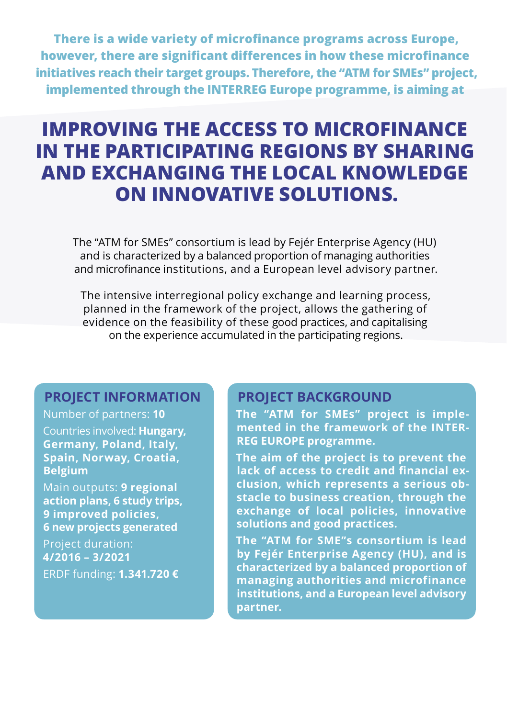**There is a wide variety of microfinance programs across Europe, however, there are significant differences in how these microfinance initiatives reach their target groups. Therefore, the "ATM for SMEs" project, implemented through the INTERREG Europe programme, is aiming at**

# **IMPROVING THE ACCESS TO MICROFINANCE IN THE PARTICIPATING REGIONS BY SHARING AND EXCHANGING THE LOCAL KNOWLEDGE ON INNOVATIVE SOLUTIONS.**

The "ATM for SMEs" consortium is lead by Fejér Enterprise Agency (HU) and is characterized by a balanced proportion of managing authorities and microfinance institutions, and a European level advisory partner.

The intensive interregional policy exchange and learning process, planned in the framework of the project, allows the gathering of evidence on the feasibility of these good practices, and capitalising on the experience accumulated in the participating regions.

# **PROJECT INFORMATION**

Number of partners: **10** Countries involved: **Hungary, Germany, Poland, Italy, Spain, Norway, Croatia, Belgium**

Main outputs: **9 regional action plans, 6 study trips, 9 improved policies, 6 new projects generated**

Project duration: **4/2016 – 3/2021** ERDF funding: **1.341.720 €**

# **PROJECT BACKGROUND**

**The "ATM for SMEs" project is implemented in the framework of the INTER-REG EUROPE programme.** 

**The aim of the project is to prevent the lack of access to credit and financial exclusion, which represents a serious obstacle to business creation, through the exchange of local policies, innovative solutions and good practices.** 

**The "ATM for SME"s consortium is lead by Fejér Enterprise Agency (HU), and is characterized by a balanced proportion of managing authorities and microfinance institutions, and a European level advisory partner.**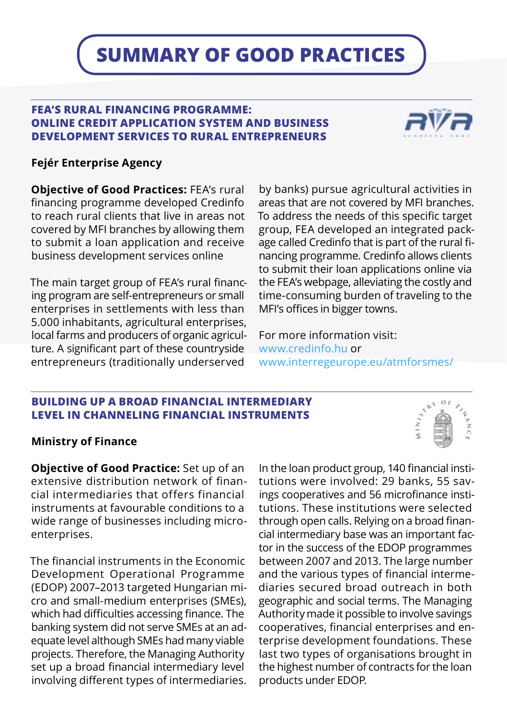# **SUMMARY OF GOOD PRACTICES**

# **FEA'S RURAL FINANCING PROGRAMME: ONLINE CREDIT APPLICATION SYSTEM AND BUSINESS DEVELOPMENT SERVICES TO RURAL ENTREPRENEURS**



# **Fejér Enterprise Agency**

**Objective of Good Practices:** FEA's rural financing programme developed Credinfo to reach rural clients that live in areas not covered by MFI branches by allowing them to submit a loan application and receive business development services online

The main target group of FEA's rural financing program are self-entrepreneurs or small enterprises in settlements with less than 5.000 inhabitants, agricultural enterprises, local farms and producers of organic agriculture. A significant part of these countryside entrepreneurs (traditionally underserved

by banks) pursue agricultural activities in areas that are not covered by MFI branches. To address the needs of this specific target group, FEA developed an integrated package called Credinfo that is part of the rural financing programme. Credinfo allows clients to submit their loan applications online via the FEA's webpage, alleviating the costly and time-consuming burden of traveling to the MFI's offices in bigger towns.

For more information visit: www.credinfo.hu or www.interregeurope.eu/atmforsmes/

### **BUILDING UP A BROAD FINANCIAL INTERMEDIARY LEVEL IN CHANNELING FINANCIAL INSTRUMENTS**

### **Ministry of Finance**

**Objective of Good Practice:** Set up of an extensive distribution network of financial intermediaries that offers financial instruments at favourable conditions to a wide range of businesses including microenterprises.

The financial instruments in the Economic Development Operational Programme (EDOP) 2007–2013 targeted Hungarian micro and small-medium enterprises (SMEs), which had difficulties accessing finance. The banking system did not serve SMEs at an adequate level although SMEs had many viable projects. Therefore, the Managing Authority set up a broad financial intermediary level involving different types of intermediaries.

In the loan product group, 140 financial institutions were involved: 29 banks, 55 savings cooperatives and 56 microfinance institutions. These institutions were selected through open calls. Relying on a broad financial intermediary base was an important factor in the success of the EDOP programmes between 2007 and 2013. The large number and the various types of financial intermediaries secured broad outreach in both geographic and social terms. The Managing Authority made it possible to involve savings cooperatives, financial enterprises and enterprise development foundations. These last two types of organisations brought in the highest number of contracts for the loan products under EDOP.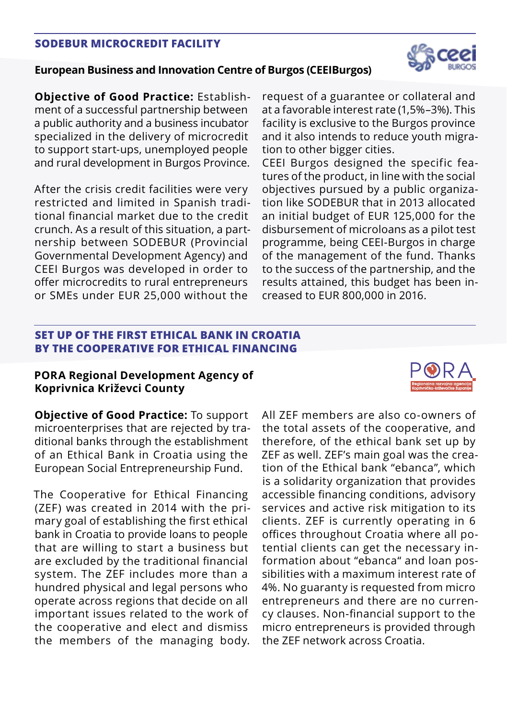## **SODEBUR MICROCREDIT FACILITY**

# **European Business and Innovation Centre of Burgos (CEEIBurgos)**

**Objective of Good Practice:** Establishment of a successful partnership between a public authority and a business incubator specialized in the delivery of microcredit to support start-ups, unemployed people and rural development in Burgos Province.

After the crisis credit facilities were very restricted and limited in Spanish traditional financial market due to the credit crunch. As a result of this situation, a partnership between SODEBUR (Provincial Governmental Development Agency) and CEEI Burgos was developed in order to offer microcredits to rural entrepreneurs or SMEs under EUR 25,000 without the

request of a guarantee or collateral and at a favorable interest rate (1,5%–3%). This facility is exclusive to the Burgos province and it also intends to reduce youth migration to other bigger cities.

CEEI Burgos designed the specific features of the product, in line with the social objectives pursued by a public organization like SODEBUR that in 2013 allocated an initial budget of EUR 125,000 for the disbursement of microloans as a pilot test programme, being CEEI-Burgos in charge of the management of the fund. Thanks to the success of the partnership, and the results attained, this budget has been increased to EUR 800,000 in 2016.

# **SET UP OF THE FIRST ETHICAL BANK IN CROATIA BY THE COOPERATIVE FOR ETHICAL FINANCING**

# **PORA Regional Development Agency of Koprivnica Križevci County**

**Objective of Good Practice:** To support microenterprises that are rejected by traditional banks through the establishment of an Ethical Bank in Croatia using the European Social Entrepreneurship Fund.

The Cooperative for Ethical Financing (ZEF) was created in 2014 with the primary goal of establishing the first ethical bank in Croatia to provide loans to people that are willing to start a business but are excluded by the traditional financial system. The ZEF includes more than a hundred physical and legal persons who operate across regions that decide on all important issues related to the work of the cooperative and elect and dismiss the members of the managing body. All ZEF members are also co-owners of the total assets of the cooperative, and therefore, of the ethical bank set up by ZEF as well. ZEF's main goal was the creation of the Ethical bank "ebanca", which is a solidarity organization that provides accessible financing conditions, advisory services and active risk mitigation to its clients. ZEF is currently operating in 6 offices throughout Croatia where all potential clients can get the necessary information about "ebanca" and loan possibilities with a maximum interest rate of 4%. No guaranty is requested from micro entrepreneurs and there are no currency clauses. Non-financial support to the micro entrepreneurs is provided through the ZEF network across Croatia.



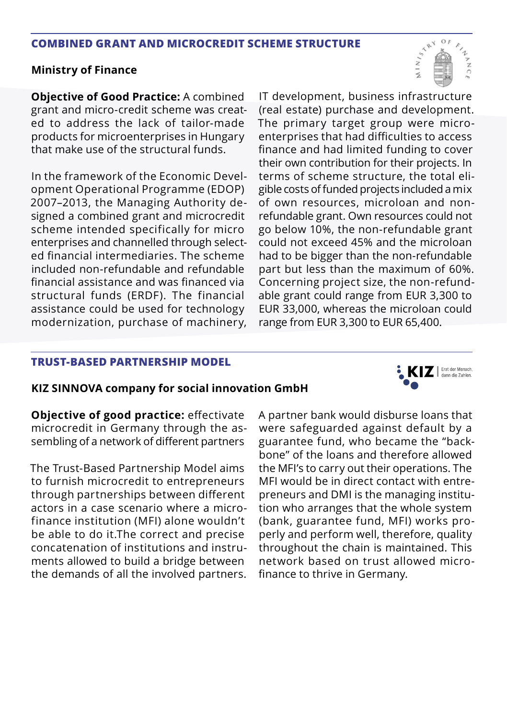#### **COMBINED GRANT AND MICROCREDIT SCHEME STRUCTURE**

#### **Ministry of Finance**

**Objective of Good Practice:** A combined grant and micro-credit scheme was created to address the lack of tailor-made products for microenterprises in Hungary that make use of the structural funds.

In the framework of the Economic Development Operational Programme (EDOP) 2007–2013, the Managing Authority designed a combined grant and microcredit scheme intended specifically for micro enterprises and channelled through selected financial intermediaries. The scheme included non-refundable and refundable financial assistance and was financed via structural funds (ERDF). The financial assistance could be used for technology modernization, purchase of machinery, IT development, business infrastructure (real estate) purchase and development. The primary target group were microenterprises that had difficulties to access finance and had limited funding to cover their own contribution for their projects. In terms of scheme structure, the total eligible costs of funded projects included a mix of own resources, microloan and nonrefundable grant. Own resources could not go below 10%, the non-refundable grant could not exceed 45% and the microloan had to be bigger than the non-refundable part but less than the maximum of 60%. Concerning project size, the non-refundable grant could range from EUR 3,300 to EUR 33,000, whereas the microloan could range from EUR 3,300 to EUR 65,400.

### **TRUST-BASED PARTNERSHIP MODEL**

### **KIZ SINNOVA company for social innovation GmbH**

**Objective of good practice:** effectivate microcredit in Germany through the assembling of a network of different partners

The Trust-Based Partnership Model aims to furnish microcredit to entrepreneurs through partnerships between different actors in a case scenario where a microfinance institution (MFI) alone wouldn't be able to do it.The correct and precise concatenation of institutions and instruments allowed to build a bridge between the demands of all the involved partners.

A partner bank would disburse loans that were safeguarded against default by a guarantee fund, who became the "backbone" of the loans and therefore allowed the MFI's to carry out their operations. The MFI would be in direct contact with entrepreneurs and DMI is the managing institution who arranges that the whole system (bank, guarantee fund, MFI) works properly and perform well, therefore, quality throughout the chain is maintained. This network based on trust allowed microfinance to thrive in Germany.



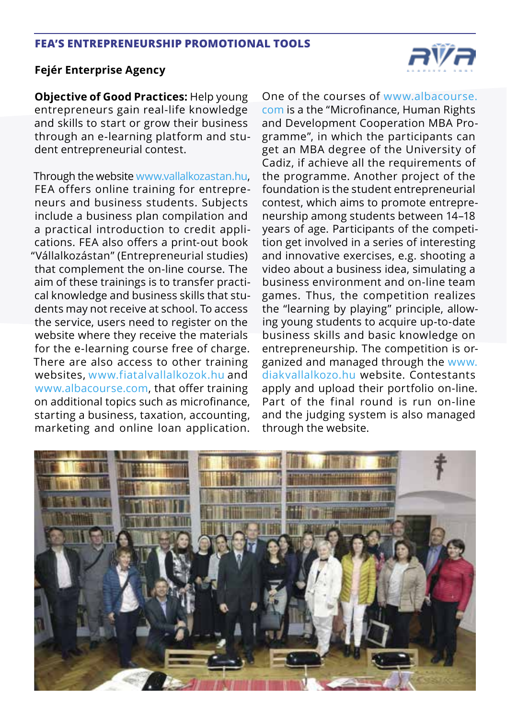### **FEA'S ENTREPRENEURSHIP PROMOTIONAL TOOLS**

# **Fejér Enterprise Agency**

**Objective of Good Practices:** Help young entrepreneurs gain real-life knowledge and skills to start or grow their business through an e-learning platform and student entrepreneurial contest.

Through the website www.vallalkozastan.hu, FEA offers online training for entrepreneurs and business students. Subjects include a business plan compilation and a practical introduction to credit applications. FEA also offers a print-out book "Vállalkozástan" (Entrepreneurial studies) that complement the on-line course. The aim of these trainings is to transfer practical knowledge and business skills that students may not receive at school. To access the service, users need to register on the website where they receive the materials for the e-learning course free of charge. There are also access to other training websites, www.fiatalvallalkozok.hu and www.albacourse.com, that offer training on additional topics such as microfinance, starting a business, taxation, accounting, marketing and online loan application.

One of the courses of www.albacourse. com is a the "Microfinance, Human Rights and Development Cooperation MBA Programme", in which the participants can get an MBA degree of the University of Cadiz, if achieve all the requirements of the programme. Another project of the foundation is the student entrepreneurial contest, which aims to promote entrepreneurship among students between 14–18 years of age. Participants of the competition get involved in a series of interesting and innovative exercises, e.g. shooting a video about a business idea, simulating a business environment and on-line team games. Thus, the competition realizes the "learning by playing" principle, allowing young students to acquire up-to-date business skills and basic knowledge on entrepreneurship. The competition is organized and managed through the www. diakvallalkozo.hu website. Contestants apply and upload their portfolio on-line. Part of the final round is run on-line and the judging system is also managed through the website.



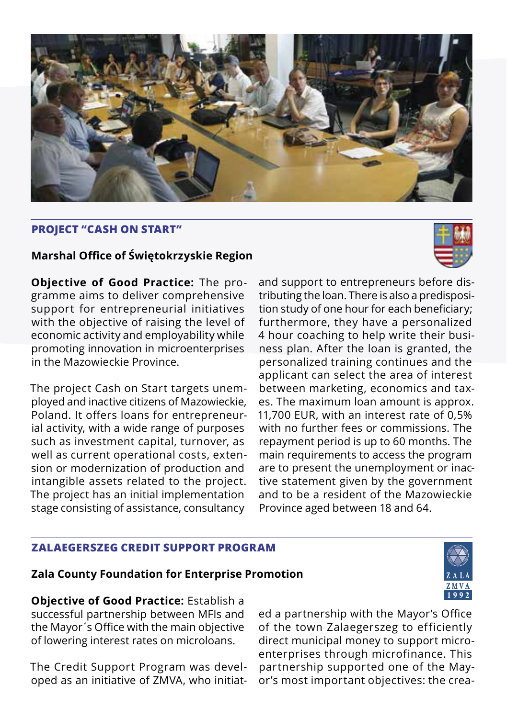

# **PROJECT "CASH ON START"**

# **Marshal Office of Świętokrzyskie Region**

**Objective of Good Practice:** The programme aims to deliver comprehensive support for entrepreneurial initiatives with the objective of raising the level of economic activity and employability while promoting innovation in microenterprises in the Mazowieckie Province.

The project Cash on Start targets unemployed and inactive citizens of Mazowieckie, Poland. It offers loans for entrepreneurial activity, with a wide range of purposes such as investment capital, turnover, as well as current operational costs, extension or modernization of production and intangible assets related to the project. The project has an initial implementation stage consisting of assistance, consultancy



and support to entrepreneurs before distributing the loan. There is also a predisposition study of one hour for each beneficiary; furthermore, they have a personalized 4 hour coaching to help write their business plan. After the loan is granted, the personalized training continues and the applicant can select the area of interest between marketing, economics and taxes. The maximum loan amount is approx. 11,700 EUR, with an interest rate of 0,5% with no further fees or commissions. The repayment period is up to 60 months. The main requirements to access the program are to present the unemployment or inactive statement given by the government and to be a resident of the Mazowieckie Province aged between 18 and 64.

# **ZALAEGERSZEG CREDIT SUPPORT PROGRAM**

## **Zala County Foundation for Enterprise Promotion**



**Objective of Good Practice:** Establish a successful partnership between MFIs and the Mayor´s Office with the main objective of lowering interest rates on microloans.

The Credit Support Program was developed as an initiative of ZMVA, who initiat-

ed a partnership with the Mayor's Office of the town Zalaegerszeg to efficiently direct municipal money to support microenterprises through microfinance. This partnership supported one of the Mayor's most important objectives: the crea-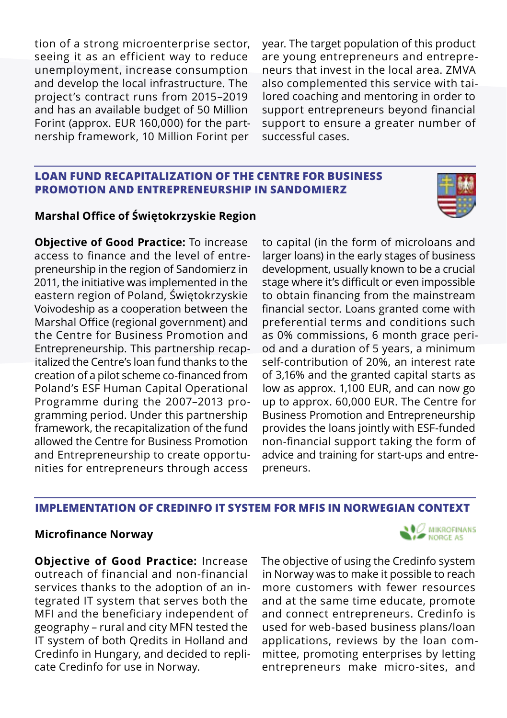tion of a strong microenterprise sector, seeing it as an efficient way to reduce unemployment, increase consumption and develop the local infrastructure. The project's contract runs from 2015–2019 and has an available budget of 50 Million Forint (approx. EUR 160,000) for the partnership framework, 10 Million Forint per

year. The target population of this product are young entrepreneurs and entrepreneurs that invest in the local area. ZMVA also complemented this service with tailored coaching and mentoring in order to support entrepreneurs beyond financial support to ensure a greater number of successful cases.

### **LOAN FUND RECAPITALIZATION OF THE CENTRE FOR BUSINESS PROMOTION AND ENTREPRENEURSHIP IN SANDOMIERZ**

# **Marshal Office of Świętokrzyskie Region**

**Objective of Good Practice:** To increase access to finance and the level of entrepreneurship in the region of Sandomierz in 2011, the initiative was implemented in the eastern region of Poland, Świętokrzyskie Voivodeship as a cooperation between the Marshal Office (regional government) and the Centre for Business Promotion and Entrepreneurship. This partnership recapitalized the Centre's loan fund thanks to the creation of a pilot scheme co-financed from Poland's ESF Human Capital Operational Programme during the 2007–2013 programming period. Under this partnership framework, the recapitalization of the fund allowed the Centre for Business Promotion and Entrepreneurship to create opportunities for entrepreneurs through access

to capital (in the form of microloans and larger loans) in the early stages of business development, usually known to be a crucial stage where it's difficult or even impossible to obtain financing from the mainstream financial sector. Loans granted come with preferential terms and conditions such as 0% commissions, 6 month grace period and a duration of 5 years, a minimum self-contribution of 20%, an interest rate of 3,16% and the granted capital starts as low as approx. 1,100 EUR, and can now go up to approx. 60,000 EUR. The Centre for Business Promotion and Entrepreneurship provides the loans jointly with ESF-funded non-financial support taking the form of advice and training for start-ups and entrepreneurs.

# **IMPLEMENTATION OF CREDINFO IT SYSTEM FOR MFIS IN NORWEGIAN CONTEXT**

# **Microfinance Norway**

**Objective of Good Practice:** Increase outreach of financial and non-financial services thanks to the adoption of an integrated IT system that serves both the MFI and the beneficiary independent of geography – rural and city MFN tested the IT system of both Qredits in Holland and Credinfo in Hungary, and decided to replicate Credinfo for use in Norway.

The objective of using the Credinfo system in Norway was to make it possible to reach more customers with fewer resources and at the same time educate, promote and connect entrepreneurs. Credinfo is used for web-based business plans/loan applications, reviews by the loan committee, promoting enterprises by letting entrepreneurs make micro-sites, and



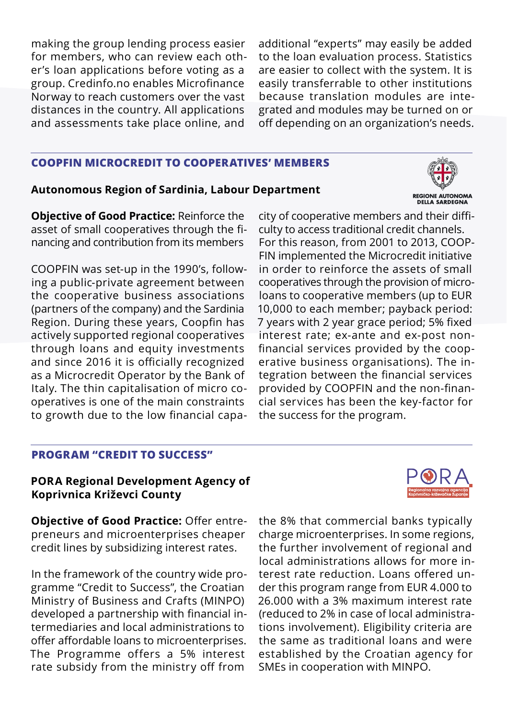making the group lending process easier for members, who can review each other's loan applications before voting as a group. Credinfo.no enables Microfinance Norway to reach customers over the vast distances in the country. All applications and assessments take place online, and

additional "experts" may easily be added to the loan evaluation process. Statistics are easier to collect with the system. It is easily transferrable to other institutions because translation modules are integrated and modules may be turned on or off depending on an organization's needs.

#### **COOPFIN MICROCREDIT TO COOPERATIVES' MEMBERS**

#### **Autonomous Region of Sardinia, Labour Department**

REGIONE AUTONOMA **DELLA SARDEGNA** 

**Objective of Good Practice:** Reinforce the asset of small cooperatives through the financing and contribution from its members

COOPFIN was set-up in the 1990's, following a public-private agreement between the cooperative business associations (partners of the company) and the Sardinia Region. During these years, Coopfin has actively supported regional cooperatives through loans and equity investments and since 2016 it is officially recognized as a Microcredit Operator by the Bank of Italy. The thin capitalisation of micro cooperatives is one of the main constraints to growth due to the low financial capa-

city of cooperative members and their difficulty to access traditional credit channels. For this reason, from 2001 to 2013, COOP-FIN implemented the Microcredit initiative in order to reinforce the assets of small cooperatives through the provision of microloans to cooperative members (up to EUR 10,000 to each member; payback period: 7 years with 2 year grace period; 5% fixed interest rate; ex-ante and ex-post nonfinancial services provided by the cooperative business organisations). The integration between the financial services provided by COOPFIN and the non-financial services has been the key-factor for the success for the program.

# **PROGRAM "CREDIT TO SUCCESS"**

#### **PORA Regional Development Agency of Koprivnica Križevci County**



**Objective of Good Practice:** Offer entrepreneurs and microenterprises cheaper credit lines by subsidizing interest rates.

In the framework of the country wide programme "Credit to Success", the Croatian Ministry of Business and Crafts (MINPO) developed a partnership with financial intermediaries and local administrations to offer affordable loans to microenterprises. The Programme offers a 5% interest rate subsidy from the ministry off from

the 8% that commercial banks typically charge microenterprises. In some regions, the further involvement of regional and local administrations allows for more interest rate reduction. Loans offered under this program range from EUR 4.000 to 26.000 with a 3% maximum interest rate (reduced to 2% in case of local administrations involvement). Eligibility criteria are the same as traditional loans and were established by the Croatian agency for SMEs in cooperation with MINPO.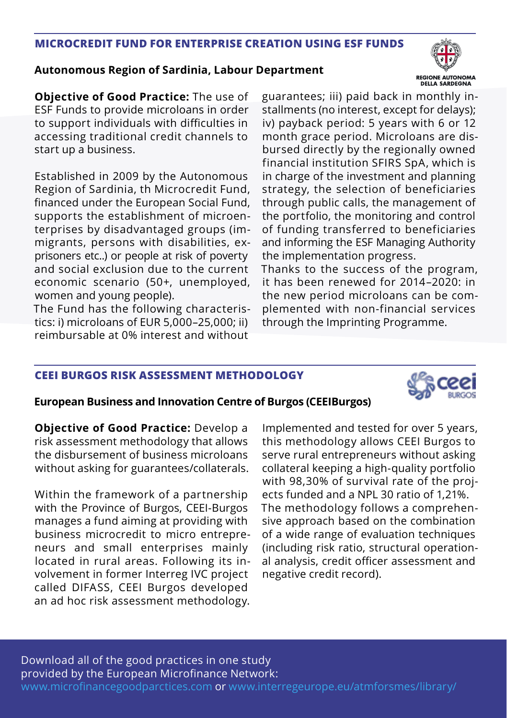# **MICROCREDIT FUND FOR ENTERPRISE CREATION USING ESF FUNDS**

## **Autonomous Region of Sardinia, Labour Department**



**Objective of Good Practice:** The use of ESF Funds to provide microloans in order to support individuals with difficulties in accessing traditional credit channels to start up a business.

Established in 2009 by the Autonomous Region of Sardinia, th Microcredit Fund, financed under the European Social Fund, supports the establishment of microenterprises by disadvantaged groups (immigrants, persons with disabilities, exprisoners etc..) or people at risk of poverty and social exclusion due to the current economic scenario (50+, unemployed, women and young people).

The Fund has the following characteristics: i) microloans of EUR 5,000–25,000; ii) reimbursable at 0% interest and without

guarantees; iii) paid back in monthly installments (no interest, except for delays); iv) payback period: 5 years with 6 or 12 month grace period. Microloans are disbursed directly by the regionally owned financial institution SFIRS SpA, which is in charge of the investment and planning strategy, the selection of beneficiaries through public calls, the management of the portfolio, the monitoring and control of funding transferred to beneficiaries and informing the ESF Managing Authority the implementation progress.

Thanks to the success of the program, it has been renewed for 2014–2020: in the new period microloans can be complemented with non-financial services through the Imprinting Programme.

### **CEEI BURGOS RISK ASSESSMENT METHODOLOGY**



### **European Business and Innovation Centre of Burgos (CEEIBurgos)**

**Objective of Good Practice:** Develop a risk assessment methodology that allows the disbursement of business microloans without asking for guarantees/collaterals.

Within the framework of a partnership with the Province of Burgos, CEEI-Burgos manages a fund aiming at providing with business microcredit to micro entrepreneurs and small enterprises mainly located in rural areas. Following its involvement in former Interreg IVC project called DIFASS, CEEI Burgos developed an ad hoc risk assessment methodology.

Implemented and tested for over 5 years, this methodology allows CEEI Burgos to serve rural entrepreneurs without asking collateral keeping a high-quality portfolio with 98,30% of survival rate of the projects funded and a NPL 30 ratio of 1,21%. The methodology follows a comprehensive approach based on the combination of a wide range of evaluation techniques (including risk ratio, structural operational analysis, credit officer assessment and negative credit record).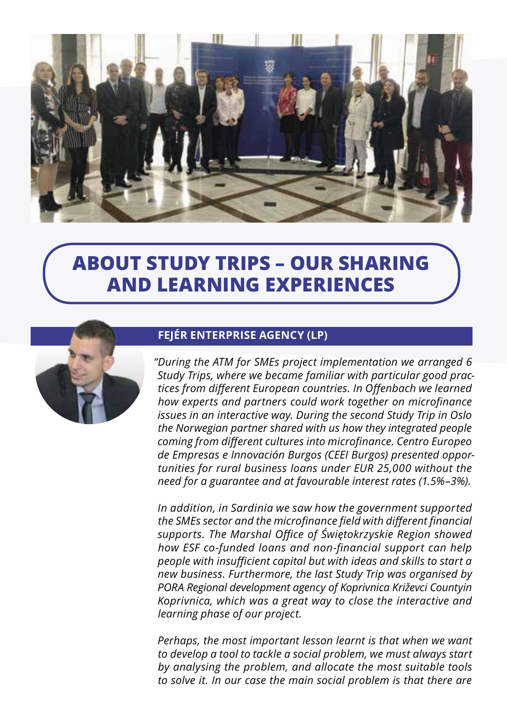

# **ABOUT STUDY TRIPS – OUR SHARING AND LEARNING EXPERIENCES**



# **FEJÉR ENTERPRISE AGENCY (LP)**

*"During the ATM for SMEs project implementation we arranged 6 Study Trips, where we became familiar with particular good practices from different European countries. In Offenbach we learned how experts and partners could work together on microfinance issues in an interactive way. During the second Study Trip in Oslo the Norwegian partner shared with us how they integrated people coming from different cultures into microfinance. Centro Europeo de Empresas e Innovación Burgos (CEEI Burgos) presented opportunities for rural business loans under EUR 25,000 without the need for a guarantee and at favourable interest rates (1.5%–3%).* 

*In addition, in Sardinia we saw how the government supported the SMEs sector and the microfinance field with different financial supports. The Marshal Office of Świętokrzyskie Region showed how ESF co-funded loans and non-financial support can help people with insufficient capital but with ideas and skills to start a new business. Furthermore, the last Study Trip was organised by PORA Regional development agency of Koprivnica Križevci Countyin Koprivnica, which was a great way to close the interactive and learning phase of our project.*

*Perhaps, the most important lesson learnt is that when we want to develop a tool to tackle a social problem, we must always start by analysing the problem, and allocate the most suitable tools to solve it. In our case the main social problem is that there are*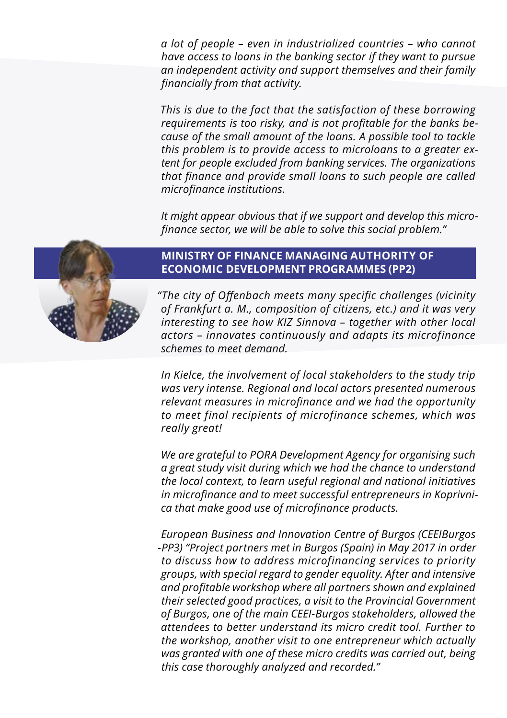*a lot of people – even in industrialized countries – who cannot have access to loans in the banking sector if they want to pursue an independent activity and support themselves and their family financially from that activity.* 

*This is due to the fact that the satisfaction of these borrowing requirements is too risky, and is not profitable for the banks because of the small amount of the loans. A possible tool to tackle this problem is to provide access to microloans to a greater extent for people excluded from banking services. The organizations that finance and provide small loans to such people are called microfinance institutions.*

*It might appear obvious that if we support and develop this microfinance sector, we will be able to solve this social problem."*



# **MINISTRY OF FINANCE MANAGING AUTHORITY OF ECONOMIC DEVELOPMENT PROGRAMMES (PP2)**

*"The city of Offenbach meets many specific challenges (vicinity of Frankfurt a. M., composition of citizens, etc.) and it was very interesting to see how KIZ Sinnova – together with other local actors – innovates continuously and adapts its microfinance schemes to meet demand.* 

*In Kielce, the involvement of local stakeholders to the study trip was very intense. Regional and local actors presented numerous relevant measures in microfinance and we had the opportunity to meet final recipients of microfinance schemes, which was really great!* 

*We are grateful to PORA Development Agency for organising such a great study visit during which we had the chance to understand the local context, to learn useful regional and national initiatives in microfinance and to meet successful entrepreneurs in Koprivnica that make good use of microfinance products.*

*European Business and Innovation Centre of Burgos (CEEIBurgos -PP3) "Project partners met in Burgos (Spain) in May 2017 in order to discuss how to address microfinancing services to priority groups, with special regard to gender equality. After and intensive and profitable workshop where all partners shown and explained their selected good practices, a visit to the Provincial Government of Burgos, one of the main CEEI-Burgos stakeholders, allowed the attendees to better understand its micro credit tool. Further to the workshop, another visit to one entrepreneur which actually was granted with one of these micro credits was carried out, being this case thoroughly analyzed and recorded."*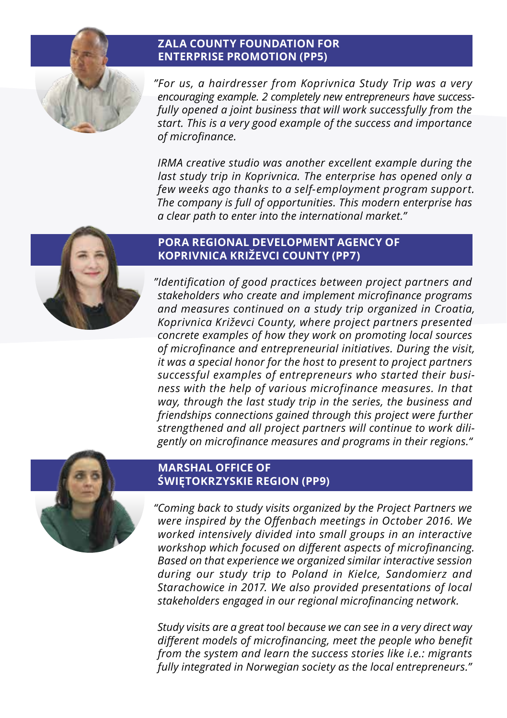# **ZALA COUNTY FOUNDATION FOR ENTERPRISE PROMOTION (PP5)**

*"For us, a hairdresser from Koprivnica Study Trip was a very encouraging example. 2 completely new entrepreneurs have successfully opened a joint business that will work successfully from the start. This is a very good example of the success and importance of microfinance.*

*IRMA creative studio was another excellent example during the last study trip in Koprivnica. The enterprise has opened only a few weeks ago thanks to a self-employment program support. The company is full of opportunities. This modern enterprise has a clear path to enter into the international market."*



# **PORA REGIONAL DEVELOPMENT AGENCY OF KOPRIVNICA KRIŽEVCI COUNTY (PP7)**

*"Identification of good practices between project partners and stakeholders who create and implement microfinance programs and measures continued on a study trip organized in Croatia, Koprivnica Križevci County, where project partners presented concrete examples of how they work on promoting local sources of microfinance and entrepreneurial initiatives. During the visit, it was a special honor for the host to present to project partners successful examples of entrepreneurs who started their business with the help of various microfinance measures. In that way, through the last study trip in the series, the business and friendships connections gained through this project were further strengthened and all project partners will continue to work diligently on microfinance measures and programs in their regions."*



# **MARSHAL OFFICE OF ŚWIĘTOKRZYSKIE REGION (PP9)**

*"Coming back to study visits organized by the Project Partners we were inspired by the Offenbach meetings in October 2016. We worked intensively divided into small groups in an interactive workshop which focused on different aspects of microfinancing. Based on that experience we organized similar interactive session during our study trip to Poland in Kielce, Sandomierz and Starachowice in 2017. We also provided presentations of local stakeholders engaged in our regional microfinancing network.*

*Study visits are a great tool because we can see in a very direct way different models of microfinancing, meet the people who benefit from the system and learn the success stories like i.e.: migrants fully integrated in Norwegian society as the local entrepreneurs."*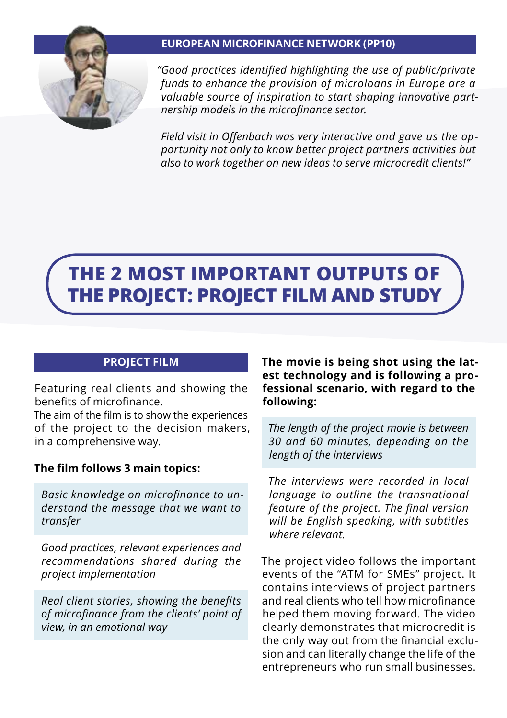# **EUROPEAN MICROFINANCE NETWORK (PP10)**



*"Good practices identified highlighting the use of public/private funds to enhance the provision of microloans in Europe are a valuable source of inspiration to start shaping innovative partnership models in the microfinance sector.* 

*Field visit in Offenbach was very interactive and gave us the opportunity not only to know better project partners activities but also to work together on new ideas to serve microcredit clients!"*

# **THE 2 MOST IMPORTANT OUTPUTS OF THE PROJECT: PROJECT FILM AND STUDY**

# **PROJECT FILM**

Featuring real clients and showing the benefits of microfinance.

The aim of the film is to show the experiences of the project to the decision makers, in a comprehensive way.

# **The film follows 3 main topics:**

*Basic knowledge on microfinance to understand the message that we want to transfer*

*Good practices, relevant experiences and recommendations shared during the project implementation*

*Real client stories, showing the benefits of microfinance from the clients' point of view, in an emotional way*

**The movie is being shot using the latest technology and is following a professional scenario, with regard to the following:** 

*The length of the project movie is between 30 and 60 minutes, depending on the length of the interviews*

*The interviews were recorded in local language to outline the transnational feature of the project. The final version will be English speaking, with subtitles where relevant.*

The project video follows the important events of the "ATM for SMEs" project. It contains interviews of project partners and real clients who tell how microfinance helped them moving forward. The video clearly demonstrates that microcredit is the only way out from the financial exclusion and can literally change the life of the entrepreneurs who run small businesses.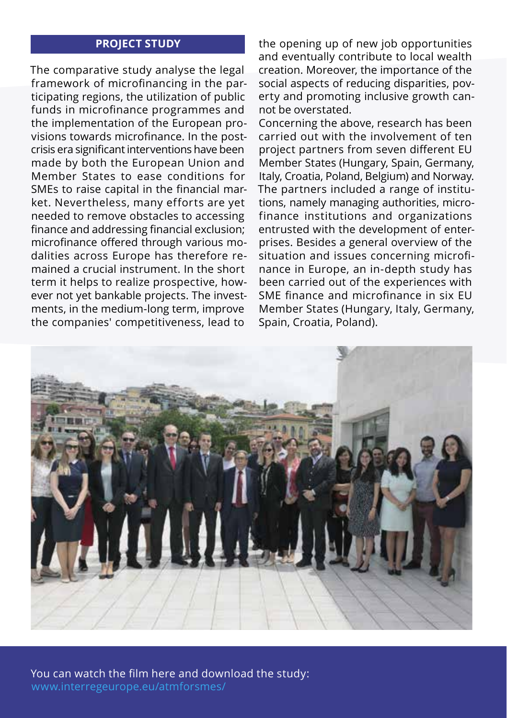#### **PROJECT STUDY**

The comparative study analyse the legal framework of microfinancing in the participating regions, the utilization of public funds in microfinance programmes and the implementation of the European provisions towards microfinance. In the postcrisis era significant interventions have been made by both the European Union and Member States to ease conditions for SMEs to raise capital in the financial market. Nevertheless, many efforts are yet needed to remove obstacles to accessing finance and addressing financial exclusion; microfinance offered through various modalities across Europe has therefore remained a crucial instrument. In the short term it helps to realize prospective, however not yet bankable projects. The investments, in the medium-long term, improve the companies' competitiveness, lead to

the opening up of new job opportunities and eventually contribute to local wealth creation. Moreover, the importance of the social aspects of reducing disparities, poverty and promoting inclusive growth cannot be overstated.

Concerning the above, research has been carried out with the involvement of ten project partners from seven different EU Member States (Hungary, Spain, Germany, Italy, Croatia, Poland, Belgium) and Norway. The partners included a range of institutions, namely managing authorities, microfinance institutions and organizations entrusted with the development of enterprises. Besides a general overview of the situation and issues concerning microfinance in Europe, an in-depth study has been carried out of the experiences with SME finance and microfinance in six EU Member States (Hungary, Italy, Germany, Spain, Croatia, Poland).